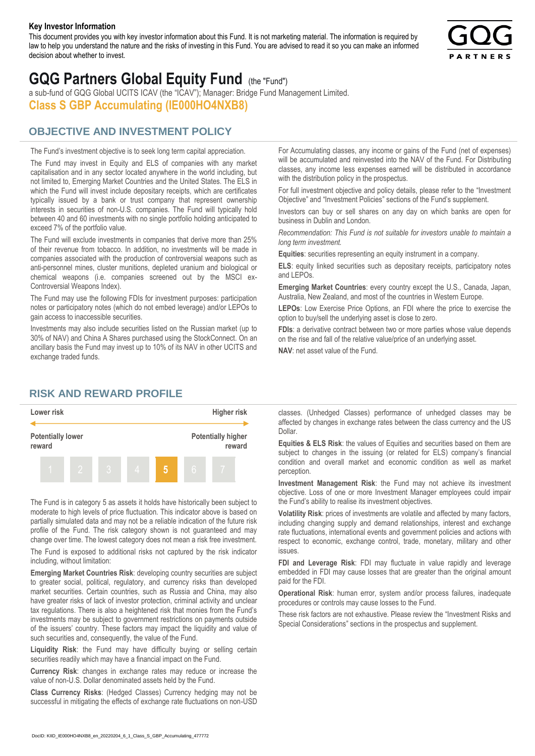#### **Key Investor Information**

This document provides you with key investor information about this Fund. It is not marketing material. The information is required by law to help you understand the nature and the risks of investing in this Fund. You are advised to read it so you can make an informed decision about whether to invest.



# **GQG Partners Global Equity Fund** (the "Fund")

a sub-fund of GQG Global UCITS ICAV (the "ICAV"); Manager: Bridge Fund Management Limited. **Class S GBP Accumulating (IE000HO4NXB8)**

## **OBJECTIVE AND INVESTMENT POLICY**

The Fund's investment objective is to seek long term capital appreciation. The Fund may invest in Equity and ELS of companies with any market capitalisation and in any sector located anywhere in the world including, but not limited to, Emerging Market Countries and the United States. The ELS in which the Fund will invest include depositary receipts, which are certificates typically issued by a bank or trust company that represent ownership interests in securities of non-U.S. companies. The Fund will typically hold between 40 and 60 investments with no single portfolio holding anticipated to exceed 7% of the portfolio value.

The Fund will exclude investments in companies that derive more than 25% of their revenue from tobacco. In addition, no investments will be made in companies associated with the production of controversial weapons such as anti-personnel mines, cluster munitions, depleted uranium and biological or chemical weapons (i.e. companies screened out by the MSCI ex-Controversial Weapons Index).

The Fund may use the following FDIs for investment purposes: participation notes or participatory notes (which do not embed leverage) and/or LEPOs to gain access to inaccessible securities.

Investments may also include securities listed on the Russian market (up to 30% of NAV) and China A Shares purchased using the StockConnect. On an ancillary basis the Fund may invest up to 10% of its NAV in other UCITS and exchange traded funds.

For Accumulating classes, any income or gains of the Fund (net of expenses) will be accumulated and reinvested into the NAV of the Fund. For Distributing classes, any income less expenses earned will be distributed in accordance with the distribution policy in the prospectus.

For full investment objective and policy details, please refer to the "Investment Objective" and "Investment Policies" sections of the Fund's supplement.

Investors can buy or sell shares on any day on which banks are open for business in Dublin and London.

*Recommendation: This Fund is not suitable for investors unable to maintain a long term investment.*

**Equities**: securities representing an equity instrument in a company.

**ELS**: equity linked securities such as depositary receipts, participatory notes and LEPOs.

**Emerging Market Countries**: every country except the U.S., Canada, Japan, Australia, New Zealand, and most of the countries in Western Europe.

**LEPOs**: Low Exercise Price Options, an FDI where the price to exercise the option to buy/sell the underlying asset is close to zero.

**FDIs**: a derivative contract between two or more parties whose value depends on the rise and fall of the relative value/price of an underlying asset.

**NAV**: net asset value of the Fund.

### **RISK AND REWARD PROFILE**



The Fund is in category 5 as assets it holds have historically been subject to moderate to high levels of price fluctuation. This indicator above is based on partially simulated data and may not be a reliable indication of the future risk profile of the Fund. The risk category shown is not guaranteed and may change over time. The lowest category does not mean a risk free investment.

The Fund is exposed to additional risks not captured by the risk indicator including, without limitation:

**Emerging Market Countries Risk**: developing country securities are subject to greater social, political, regulatory, and currency risks than developed market securities. Certain countries, such as Russia and China, may also have greater risks of lack of investor protection, criminal activity and unclear tax regulations. There is also a heightened risk that monies from the Fund's investments may be subject to government restrictions on payments outside of the issuers' country. These factors may impact the liquidity and value of such securities and, consequently, the value of the Fund.

**Liquidity Risk**: the Fund may have difficulty buying or selling certain securities readily which may have a financial impact on the Fund.

**Currency Risk**: changes in exchange rates may reduce or increase the value of non-U.S. Dollar denominated assets held by the Fund.

**Class Currency Risks**: (Hedged Classes) Currency hedging may not be successful in mitigating the effects of exchange rate fluctuations on non-USD classes. (Unhedged Classes) performance of unhedged classes may be affected by changes in exchange rates between the class currency and the US Dollar.

**Equities & ELS Risk**: the values of Equities and securities based on them are subject to changes in the issuing (or related for ELS) company's financial condition and overall market and economic condition as well as market perception.

**Investment Management Risk**: the Fund may not achieve its investment objective. Loss of one or more Investment Manager employees could impair the Fund's ability to realise its investment objectives.

**Volatility Risk**: prices of investments are volatile and affected by many factors, including changing supply and demand relationships, interest and exchange rate fluctuations, international events and government policies and actions with respect to economic, exchange control, trade, monetary, military and other issues.

**FDI and Leverage Risk**: FDI may fluctuate in value rapidly and leverage embedded in FDI may cause losses that are greater than the original amount paid for the FDI.

**Operational Risk**: human error, system and/or process failures, inadequate procedures or controls may cause losses to the Fund.

These risk factors are not exhaustive. Please review the "Investment Risks and Special Considerations" sections in the prospectus and supplement.